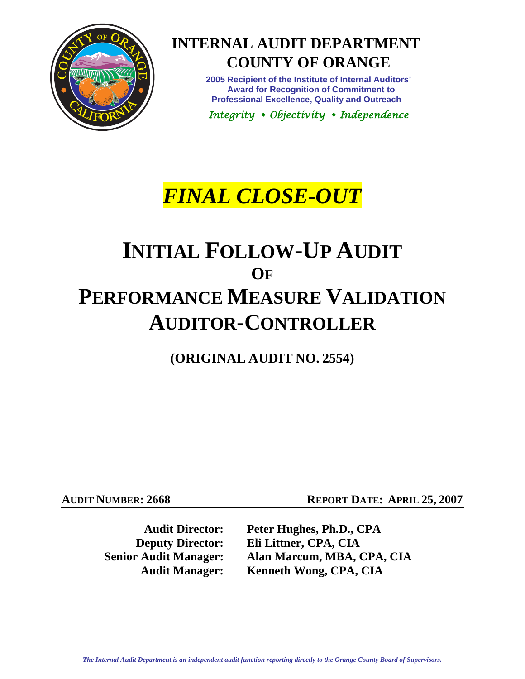

## **INTERNAL AUDIT DEPARTMENT**

### **COUNTY OF ORANGE**

**2005 Recipient of the Institute of Internal Auditors' Award for Recognition of Commitment to Professional Excellence, Quality and Outreach** 

*Integrity Objectivity Independence* 

# *FINAL CLOSE-OUT*

# **INITIAL FOLLOW-UP AUDIT OF PERFORMANCE MEASURE VALIDATION AUDITOR-CONTROLLER**

**(ORIGINAL AUDIT NO. 2554)** 

**AUDIT NUMBER: 2668 REPORT DATE: APRIL 25, 2007** 

**Audit Director: Peter Hughes, Ph.D., CPA Deputy Director: Eli Littner, CPA, CIA Senior Audit Manager: Alan Marcum, MBA, CPA, CIA Audit Manager: Kenneth Wong, CPA, CIA**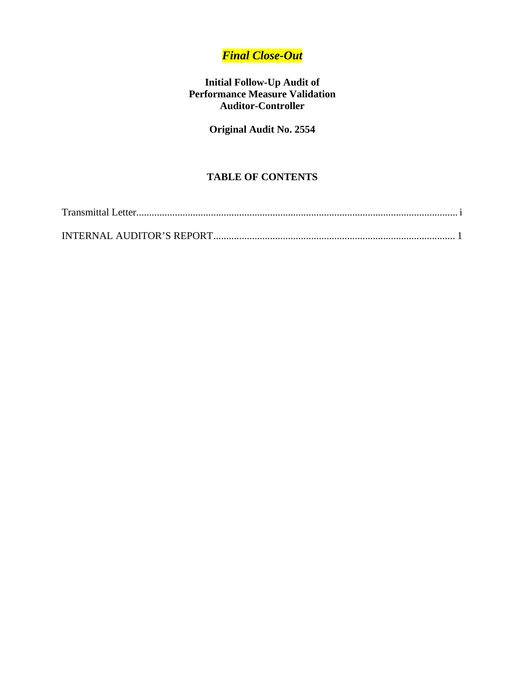### *Final Close-Out*

#### **Initial Follow-Up Audit of Performance Measure Validation Auditor-Controller**

#### **Original Audit No. 2554**

#### **TABLE OF CONTENTS**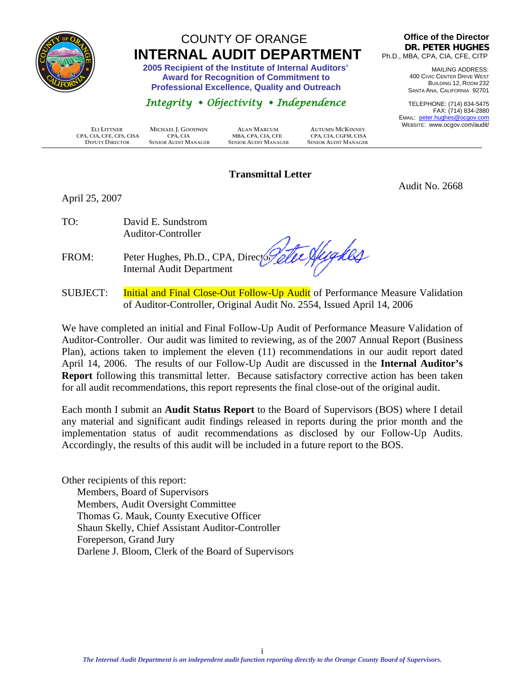<span id="page-2-0"></span>

### COUNTY OF ORANGE  **INTERNAL AUDIT DEPARTMENT 2005 Recipient of the Institute of Internal Auditors'**

 **Award for Recognition of Commitment to Professional Excellence, Quality and Outreach** 

#### *Integrity Objectivity Independence*

**Office of the Director DR. PETER HUGHES** Ph.D., MBA, CPA, CIA, CFE, CITP

> MAILING ADDRESS: 400 CIVIC CENTER DRIVE WEST BUILDING 12, ROOM 232 SANTA ANA, CALIFORNIA 92701

TELEPHONE: (714) 834-5475 FAX: (714) 834-2880 EMAIL: peter.hughes@ocgov.com WEBSITE: www.ocgov.com/audit/

Audit No. 2668

 **ELI LITTNER MICHAEL J. GOODWIN ALAN MARCUM AUTUMN MCKINNEY CPA, CIA, CFE, CFS, CISA CPA, CIA MBA, CPA, CIA, CFE CPA, CIA, CGFM, CISA DEPUTY DIRECTOR SENIOR AUDIT MANAGER SENIOR AUDIT MANAGER SENIOR AUDIT MANAGER**

#### **Transmittal Letter**

April 25, 2007

TO: David E. Sundstrom Auditor-Controller

te Hydes FROM: Peter Hughes, Ph.D., CPA, Directory Internal Audit Department

SUBJECT: Initial and Final Close-Out Follow-Up Audit of Performance Measure Validation of Auditor-Controller, Original Audit No. 2554, Issued April 14, 2006

We have completed an initial and Final Follow-Up Audit of Performance Measure Validation of Auditor-Controller. Our audit was limited to reviewing, as of the 2007 Annual Report (Business Plan), actions taken to implement the eleven (11) recommendations in our audit report dated April 14, 2006. The results of our Follow-Up Audit are discussed in the **Internal Auditor's Report** following this transmittal letter. Because satisfactory corrective action has been taken for all audit recommendations, this report represents the final close-out of the original audit.

Each month I submit an **Audit Status Report** to the Board of Supervisors (BOS) where I detail any material and significant audit findings released in reports during the prior month and the implementation status of audit recommendations as disclosed by our Follow-Up Audits. Accordingly, the results of this audit will be included in a future report to the BOS.

Other recipients of this report: Members, Board of Supervisors Members, Audit Oversight Committee Thomas G. Mauk, County Executive Officer Shaun Skelly, Chief Assistant Auditor-Controller Foreperson, Grand Jury Darlene J. Bloom, Clerk of the Board of Supervisors